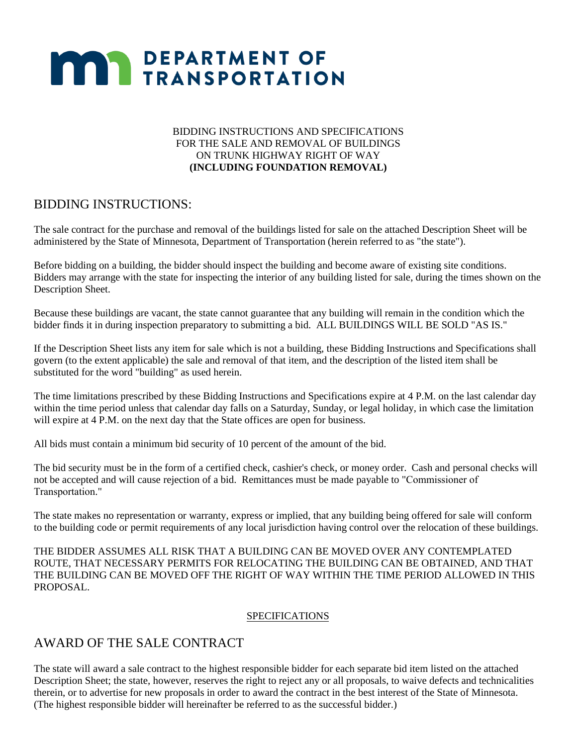#### BIDDING INSTRUCTIONS AND SPECIFICATIONS FOR THE SALE AND REMOVAL OF BUILDINGS ON TRUNK HIGHWAY RIGHT OF WAY **(INCLUDING FOUNDATION REMOVAL)**

### BIDDING INSTRUCTIONS:

The sale contract for the purchase and removal of the buildings listed for sale on the attached Description Sheet will be administered by the State of Minnesota, Department of Transportation (herein referred to as "the state").

Before bidding on a building, the bidder should inspect the building and become aware of existing site conditions. Bidders may arrange with the state for inspecting the interior of any building listed for sale, during the times shown on the Description Sheet.

Because these buildings are vacant, the state cannot guarantee that any building will remain in the condition which the bidder finds it in during inspection preparatory to submitting a bid. ALL BUILDINGS WILL BE SOLD "AS IS."

If the Description Sheet lists any item for sale which is not a building, these Bidding Instructions and Specifications shall govern (to the extent applicable) the sale and removal of that item, and the description of the listed item shall be substituted for the word "building" as used herein.

The time limitations prescribed by these Bidding Instructions and Specifications expire at 4 P.M. on the last calendar day within the time period unless that calendar day falls on a Saturday, Sunday, or legal holiday, in which case the limitation will expire at 4 P.M. on the next day that the State offices are open for business.

All bids must contain a minimum bid security of 10 percent of the amount of the bid.

The bid security must be in the form of a certified check, cashier's check, or money order. Cash and personal checks will not be accepted and will cause rejection of a bid. Remittances must be made payable to "Commissioner of Transportation."

The state makes no representation or warranty, express or implied, that any building being offered for sale will conform to the building code or permit requirements of any local jurisdiction having control over the relocation of these buildings.

THE BIDDER ASSUMES ALL RISK THAT A BUILDING CAN BE MOVED OVER ANY CONTEMPLATED ROUTE, THAT NECESSARY PERMITS FOR RELOCATING THE BUILDING CAN BE OBTAINED, AND THAT THE BUILDING CAN BE MOVED OFF THE RIGHT OF WAY WITHIN THE TIME PERIOD ALLOWED IN THIS PROPOSAL.

#### SPECIFICATIONS

### AWARD OF THE SALE CONTRACT

The state will award a sale contract to the highest responsible bidder for each separate bid item listed on the attached Description Sheet; the state, however, reserves the right to reject any or all proposals, to waive defects and technicalities therein, or to advertise for new proposals in order to award the contract in the best interest of the State of Minnesota. (The highest responsible bidder will hereinafter be referred to as the successful bidder.)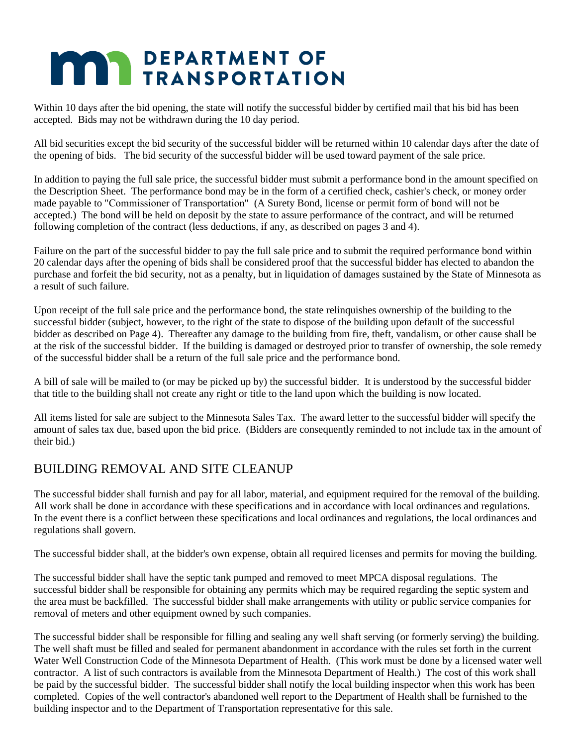Within 10 days after the bid opening, the state will notify the successful bidder by certified mail that his bid has been accepted. Bids may not be withdrawn during the 10 day period.

All bid securities except the bid security of the successful bidder will be returned within 10 calendar days after the date of the opening of bids. The bid security of the successful bidder will be used toward payment of the sale price.

In addition to paying the full sale price, the successful bidder must submit a performance bond in the amount specified on the Description Sheet. The performance bond may be in the form of a certified check, cashier's check, or money order made payable to "Commissioner of Transportation" (A Surety Bond, license or permit form of bond will not be accepted.) The bond will be held on deposit by the state to assure performance of the contract, and will be returned following completion of the contract (less deductions, if any, as described on pages 3 and 4).

Failure on the part of the successful bidder to pay the full sale price and to submit the required performance bond within 20 calendar days after the opening of bids shall be considered proof that the successful bidder has elected to abandon the purchase and forfeit the bid security, not as a penalty, but in liquidation of damages sustained by the State of Minnesota as a result of such failure.

Upon receipt of the full sale price and the performance bond, the state relinquishes ownership of the building to the successful bidder (subject, however, to the right of the state to dispose of the building upon default of the successful bidder as described on Page 4). Thereafter any damage to the building from fire, theft, vandalism, or other cause shall be at the risk of the successful bidder. If the building is damaged or destroyed prior to transfer of ownership, the sole remedy of the successful bidder shall be a return of the full sale price and the performance bond.

A bill of sale will be mailed to (or may be picked up by) the successful bidder. It is understood by the successful bidder that title to the building shall not create any right or title to the land upon which the building is now located.

All items listed for sale are subject to the Minnesota Sales Tax. The award letter to the successful bidder will specify the amount of sales tax due, based upon the bid price. (Bidders are consequently reminded to not include tax in the amount of their bid.)

### BUILDING REMOVAL AND SITE CLEANUP

The successful bidder shall furnish and pay for all labor, material, and equipment required for the removal of the building. All work shall be done in accordance with these specifications and in accordance with local ordinances and regulations. In the event there is a conflict between these specifications and local ordinances and regulations, the local ordinances and regulations shall govern.

The successful bidder shall, at the bidder's own expense, obtain all required licenses and permits for moving the building.

The successful bidder shall have the septic tank pumped and removed to meet MPCA disposal regulations. The successful bidder shall be responsible for obtaining any permits which may be required regarding the septic system and the area must be backfilled. The successful bidder shall make arrangements with utility or public service companies for removal of meters and other equipment owned by such companies.

The successful bidder shall be responsible for filling and sealing any well shaft serving (or formerly serving) the building. The well shaft must be filled and sealed for permanent abandonment in accordance with the rules set forth in the current Water Well Construction Code of the Minnesota Department of Health. (This work must be done by a licensed water well contractor. A list of such contractors is available from the Minnesota Department of Health.) The cost of this work shall be paid by the successful bidder. The successful bidder shall notify the local building inspector when this work has been completed. Copies of the well contractor's abandoned well report to the Department of Health shall be furnished to the building inspector and to the Department of Transportation representative for this sale.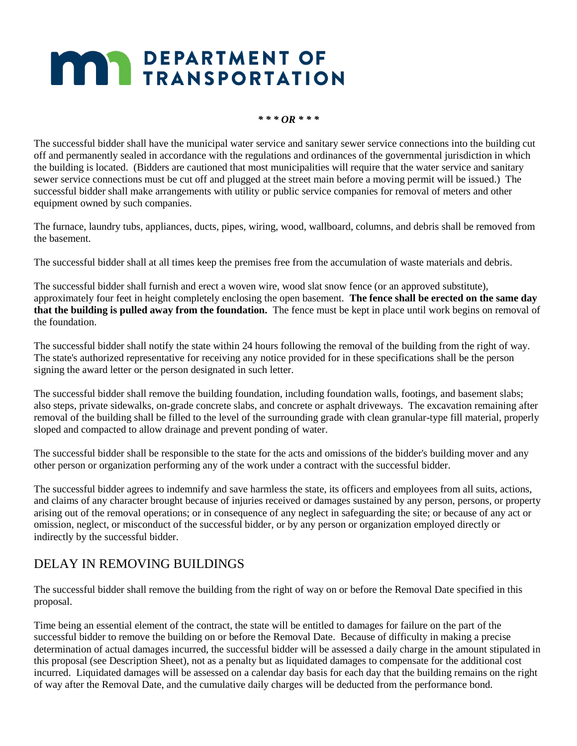#### *\* \* \* OR \* \* \**

The successful bidder shall have the municipal water service and sanitary sewer service connections into the building cut off and permanently sealed in accordance with the regulations and ordinances of the governmental jurisdiction in which the building is located. (Bidders are cautioned that most municipalities will require that the water service and sanitary sewer service connections must be cut off and plugged at the street main before a moving permit will be issued.) The successful bidder shall make arrangements with utility or public service companies for removal of meters and other equipment owned by such companies.

The furnace, laundry tubs, appliances, ducts, pipes, wiring, wood, wallboard, columns, and debris shall be removed from the basement.

The successful bidder shall at all times keep the premises free from the accumulation of waste materials and debris.

The successful bidder shall furnish and erect a woven wire, wood slat snow fence (or an approved substitute), approximately four feet in height completely enclosing the open basement. **The fence shall be erected on the same day that the building is pulled away from the foundation.** The fence must be kept in place until work begins on removal of the foundation.

The successful bidder shall notify the state within 24 hours following the removal of the building from the right of way. The state's authorized representative for receiving any notice provided for in these specifications shall be the person signing the award letter or the person designated in such letter.

The successful bidder shall remove the building foundation, including foundation walls, footings, and basement slabs; also steps, private sidewalks, on-grade concrete slabs, and concrete or asphalt driveways. The excavation remaining after removal of the building shall be filled to the level of the surrounding grade with clean granular-type fill material, properly sloped and compacted to allow drainage and prevent ponding of water.

The successful bidder shall be responsible to the state for the acts and omissions of the bidder's building mover and any other person or organization performing any of the work under a contract with the successful bidder.

The successful bidder agrees to indemnify and save harmless the state, its officers and employees from all suits, actions, and claims of any character brought because of injuries received or damages sustained by any person, persons, or property arising out of the removal operations; or in consequence of any neglect in safeguarding the site; or because of any act or omission, neglect, or misconduct of the successful bidder, or by any person or organization employed directly or indirectly by the successful bidder.

### DELAY IN REMOVING BUILDINGS

The successful bidder shall remove the building from the right of way on or before the Removal Date specified in this proposal.

Time being an essential element of the contract, the state will be entitled to damages for failure on the part of the successful bidder to remove the building on or before the Removal Date. Because of difficulty in making a precise determination of actual damages incurred, the successful bidder will be assessed a daily charge in the amount stipulated in this proposal (see Description Sheet), not as a penalty but as liquidated damages to compensate for the additional cost incurred. Liquidated damages will be assessed on a calendar day basis for each day that the building remains on the right of way after the Removal Date, and the cumulative daily charges will be deducted from the performance bond.